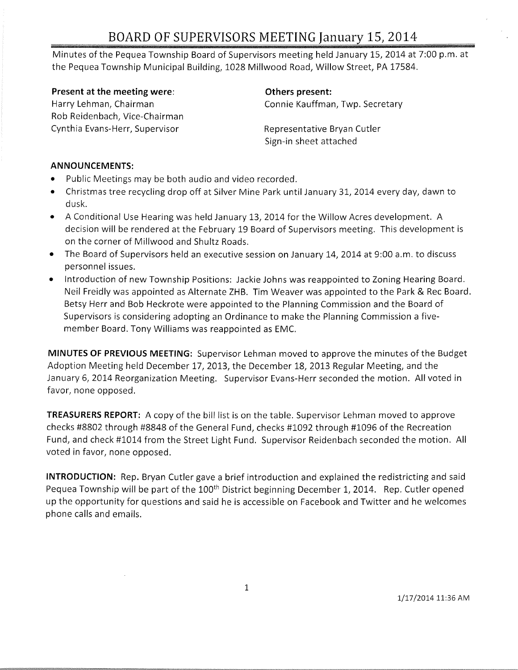# **BOARD OF SUPERVISORS MEETING January 15, 2014**

Minutes of the Pequea Township Board of Supervisors meeting held January 15, 2014 at 7:00 p.m. at the Pequea Township Municipal Building, 1028 Millwood Road, Willow Street, PA 17584.

**Present at the meeting were:**  Harry Lehman, Chairman Rob Reidenbach, Vice-Chairman Cynthia Evans-Herr, Supervisor

**Others present:**  Connie Kauffman, Twp. Secretary

Representative Bryan Cutler Sign-in sheet attached

#### **ANNOUNCEMENTS:**

- Public Meetings may be both audio and video recorded.
- Christmas tree recycling drop off at Silver Mine Park until January 31, 2014 every day, dawn to dusk.
- A Conditional Use Hearing was held January 13, 2014 for the Willow Acres development. A decision will be rendered at the February 19 Board of Supervisors meeting. This development is on the corner of Millwood and Shultz Roads.
- The Board of Supervisors held an executive session on January 14, 2014 at 9:00 a.m. to discuss personnel issues.
- Introduction of new Township Positions: Jackie Johns was reappointed to Zoning Hearing Board. Neil Freidly was appointed as Alternate ZHB. Tim Weaver was appointed to the Park & Rec Board. Betsy Herr and Bob Heckrote were appointed to the Planning Commission and the Board of Supervisors is considering adopting an Ordinance to make the Planning Commission a fivemember Board. Tony Williams was reappointed as EMC.

**MINUTES OF PREVIOUS MEETING:** Supervisor Lehman moved to approve the minutes of the Budget Adoption Meeting held December 17, 2013, the December 18, 2013 Regular Meeting, and the January 6, 2014 Reorganization Meeting. Supervisor Evans-Herr seconded the motion. All voted in favor, none opposed.

**TREASURERS REPORT:** A copy of the bill list is on the table. Supervisor Lehman moved to approve checks #8802 through #8848 of the General Fund, checks #1092 through #1096 of the Recreation Fund, and check #1014 from the Street Light Fund. Supervisor Reidenbach seconded the motion. All voted in favor, none opposed.

**INTRODUCTION:** Rep. Bryan Cutler gave a brief introduction and explained the redistricting and said Pequea Township will be part of the 100<sup>th</sup> District beginning December 1, 2014. Rep. Cutler opened up the opportunity for questions and said he is accessible on Facebook and Twitter and he welcomes phone calls and emails.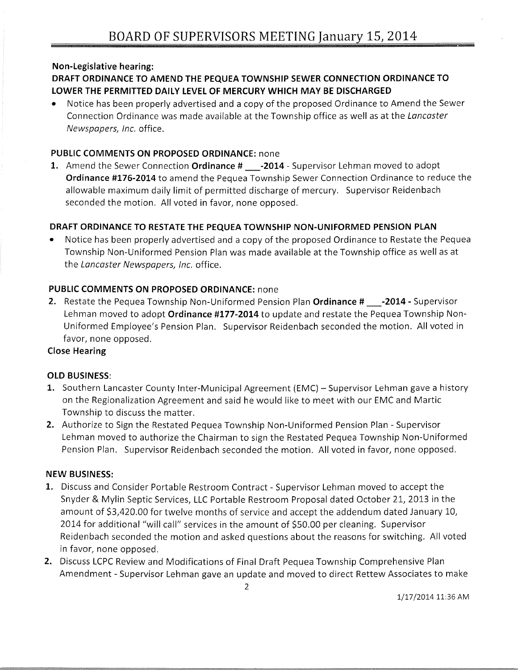#### Non-Legislative hearing:

### DRAFT ORDINANCE TO AMEND THE PEQUEA TOWNSHIP SEWER CONNECTION ORDINANCE TO LOWER THE PERMITTED DAILY LEVEL OF MERCURY WHICH MAY BE DISCHARGED

• Notice has been properly advertised and a copy of the proposed Ordinance to Amend the Sewer Connection Ordinance was made available at the Township office as well as at the Lancaster Newspapers, Inc. office.

#### PUBLIC COMMENTS ON PROPOSED ORDINANCE: none

1. Amend the Sewer Connection Ordinance # \_\_\_\_- 2014 - Supervisor Lehman moved to adopt Ordinance #176-2014 to amend the Pequea Township Sewer Connection Ordinance to reduce the allowable maximum daily limit of permitted discharge of mercury. Supervisor Reidenbach seconded the motion. All voted in favor, none opposed.

### DRAFT ORDINANCE TO RESTATE THE PEQUEA TOWNSHIP NON-UNIFORMED PENSION PLAN

• Notice has been properly advertised and a copy of the proposed Ordinance to Restate the Pequea Township Non-Uniformed Pension Plan was made available at the Township office as well as at the Lancaster Newspapers, Inc. office.

### PUBLIC COMMENTS ON PROPOSED ORDINANCE: none

2. Restate the Pequea Township Non-Uniformed Pension Plan Ordinance # \_\_\_-2014 - Supervisor Lehman moved to adopt Ordinance #177-2014 to update and restate the Pequea Township Non-Uniformed Employee's Pension Plan. Supervisor Reidenbach seconded the motion. All voted in favor, none opposed.

#### Close Hearing

#### OLD BUSINESS:

- 1. Southern Lancaster County Inter-Municipal Agreement (EMC) Supervisor Lehman gave a history on the Regionalization Agreement and said he would like to meet with our EMC and Martie Township to discuss the matter.
- 2. Authorize to Sign the Restated Pequea Township Non-Uniformed Pension Plan Supervisor Lehman moved to authorize the Chairman to sign the Restated Pequea Township Non-Uniformed Pension Plan. Supervisor Reidenbach seconded the motion. All voted in favor, none opposed.

#### NEW BUSINESS:

- 1. Discuss and Consider Portable Restroom Contract Supervisor Lehman moved to accept the Snyder & Mylin Septic Services, LLC Portable Restroom Proposal dated October 21, 2013 in the amount of \$3,420.00 for twelve months of service and accept the addendum dated January 10, 2014 for additional "will call" services in the amount of \$50.00 per cleaning. Supervisor Reidenbach seconded the motion and asked questions about the reasons for switching. All voted in favor, none opposed.
- 2. Discuss LCPC Review and Modifications of Final Draft Pequea Township Comprehensive Plan Amendment - Supervisor Lehman gave an update and moved to direct Rettew Associates to make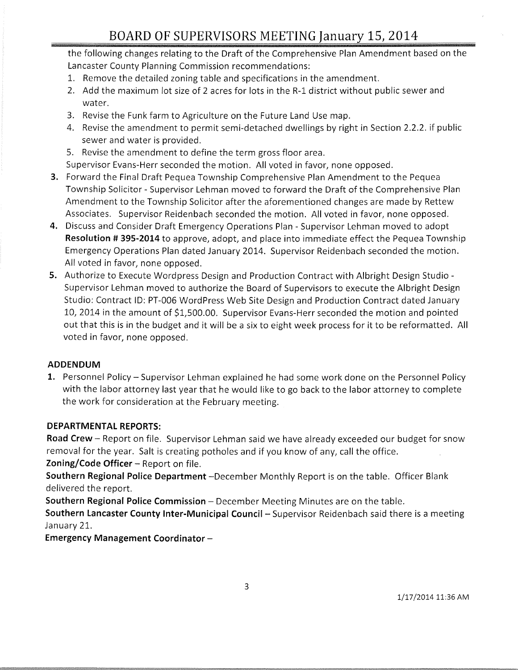the following changes relating to the Draft of the Comprehensive Plan Amendment based on the Lancaster County Planning Commission recommendations:

- 1. Remove the detailed zoning table and specifications in the amendment.
- 2. Add the maximum lot size of 2 acres for lots in the R-l district without public sewer and water.
- 3. Revise the Funk farm to Agriculture on the Future Land Use map.
- 4. Revise the amendment to permit semi-detached dwellings by right in Section 2.2.2. if public sewer and water is provided.
- 5. Revise the amendment to define the term gross floor area.
- Supervisor Evans-Herr seconded the motion. All voted in favor, none opposed.
- **3.** Forward the Final Draft Pequea Township Comprehensive Plan Amendment to the Pequea Township Solicitor - Supervisor Lehman moved to forward the Draft of the Comprehensive Plan Amendment to the Township Solicitor after the aforementioned changes are made by Rettew Associates. Supervisor Reidenbach seconded the motion. All voted in favor, none opposed.
- **4.** Discuss and Consider Draft Emergency Operations Plan Supervisor Lehman moved to adopt **Resolution # 395-2014** to approve, adopt, and place into immediate effect the Pequea Township Emergency Operations Plan dated January 2014. Supervisor Reidenbach seconded the motion. All voted in favor, none opposed.
- **5.** Authorize to Execute Wordpress Design and Production Contract with Albright Design Studio -Supervisor Lehman moved to authorize the Board of Supervisors to execute the Albright Design Studio: Contract ID: PT-006 WordPress Web Site Design and Production Contract dated January 10, 2014 in the amount of \$1,500.00. Supervisor Evans-Herr seconded the motion and pointed out that this is in the budget and it will be a six to eight week process for it to be reformatted. All voted in favor, none opposed.

#### **ADDENDUM**

1. Personnel Policy - Supervisor Lehman explained he had some work done on the Personnel Policy with the labor attorney last year that he would like to go back to the labor attorney to complete the work for consideration at the February meeting.

#### **DEPARTMENTAL REPORTS:**

Road Crew - Report on file. Supervisor Lehman said we have already exceeded our budget for snow removal for the year. Salt is creating potholes and if you know of any, call the office.

**Zoning/Code Officer** – Report on file.

**Southern Regional Police Department** -December Monthly Report is on the table. Officer Blank delivered the report.

**Southern Regional Police Commission** – December Meeting Minutes are on the table.

**Southern Lancaster County Inter-Municipal Council-** Supervisor Reidenbach said there is a meeting January 21.

**Emergency Management Coordinator -**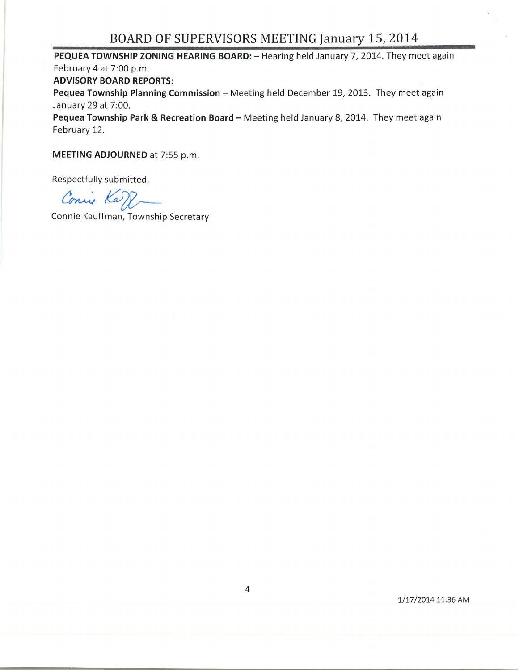## **BOARD OF SUPERVISORS MEETING January 15, 2014**

**PEQUEA TOWNSHIP ZONING HEARING BOARD:** - Hearing held January 7, 2014. They meet again February 4 at 7:00 p.m. **ADVISORY BOARD REPORTS:**  Pequea Township Planning Commission - Meeting held December 19, 2013. They meet again January 29 at 7:00.

Pequea Township Park & Recreation Board - Meeting held January 8, 2014. They meet again February 12.

**MEETING ADJOURNED** at 7:55 p.m.

Respectfully submitted,

Connie Karl

Connie Kauffman, Township Secretary